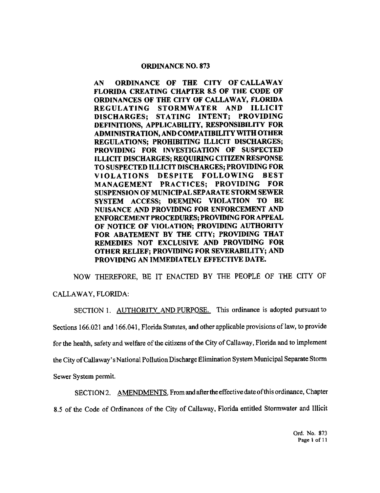## ORDINANCE NO. 873

AN ORDINANCE OF THE CITY OF CALLAWAY FLORIDA CREATING CHAPTER 8.5 OF THE CODE OF ORDINANCES OF THE CITY OF CALLAWAY, FLORIDA REGULATING STORMWATER AND ILLICIT DISCHARGES; STATING INTENT; FROVIDING DEFINITIONS, APPLICABILITY, RESPONSIBILITY FOR ADMINISTRATION, AND COMPATIBILITY WITH OTHER REGULATIONS; PROHIBITING ILLICIT DISCHARGES; PROVIDING FOR INVESTIGATION OF SUSPECTED ILLICIT DISCHARGES; REQUIRING CITIZEN RESPONSE TO SUSPECTED ILLICIT DISCHARGES; PROVIDING FOR VIOLATIONS DESPITE FOLLOWING BEST MANAGEMENT PRACTICES; PROVIDING FOR SUSPENSION OF MUNICIPAL SEPARATE STORM SEWER SYSTEM ACCESS; DEEMING VIOLATION TO BE NUISANCE AND PROVIDING FOR ENFORCEMENT AND ENFORCEMENT PROCEDURES; PROVIDING FOR APPEAL OF NOTICE OF VIOLATION; PROVIDING AUTHORITY FOR ABATEMENT BY THE CITY; PROVIDING THAT REMEDIES NOT EXCLUSIVE AND PROVIDING FOR OTHER RELIEF; PROVIDING FOR SEVERABILITY; AND PROVIDING AN IMMEDIATELY EFFECTIVE DATE.

NOW THEREFORE, BE IT ENACTED BY THE PEOPLE OF THE CITY OF CALLAWAY, FLORIDA:

SECTION 1. AUTHORITY AND PURPOSE. This ordinance is adopted pursuant to Sections 166.021 and 166.041, Florida Statutes, and other applicable provisions of law, to provide for the health, safety and welfare of the citizens of the City of Callaway, Florida and to implement the City ofCallaway' <sup>s</sup> National Poll ution Discharge Elimination System Municipal Separate Storm Sewer System permit.

SECTION 2. AMENDMENTS. From and after the effective date of this ordinance. Chapter 8. <sup>5</sup> of the Code of Ordinances of the City of Callaway, Florida entitled Stormwater and Illicit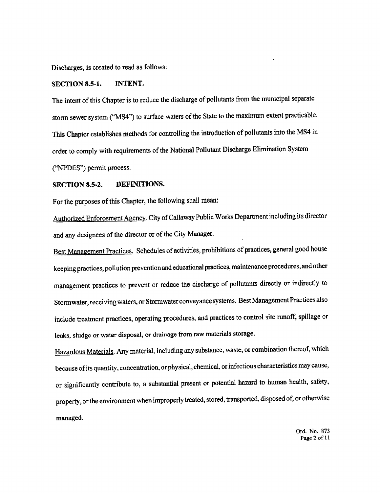Discharges, is created to read as follows:

### SECTION 8.5-1. INTENT.

The intent of this Chapter is to reduce the discharge of pollutants from the municipal separate storm sewer system ("MS4") to surface waters of the State to the maximum extent practicable. This Chapter establishes methods for controlling the introduction of pollutants into the MS4 in order to comply with requirements of the National Pollutant Discharge Elimination System ("NPDES") permit process.

## SECTION 8.5-2. DEFINITIONS.

For the purposes of this Chapter, the following shall mean:

Authorized Enforcement Agency. City ofCallaway Public Works Department including its director and any designees of the director or of the City Manager.

Best Management Practices. Schedules of activities, prohibitions of practices, general good house keeping practices, pollution prevention and educational practices, maintenance procedures, and other management practices to prevent or reduce the discharge of pollutants directly or indirectly to Stormwater, receiving waters, or Stormwater conveyance systems. Best Management Practices also include treatment practices, operating procedures, and practices to control site runoff, spillage or leaks, sludge or water disposal, or drainage from raw materials storage.

Hazardous Materials. Any material. including any substance, waste, or combination thereof, which because of its quantity, concentration, or physical, chemical, or infectious characteristics may cause, or significantly contribute to, <sup>a</sup> substantial present or potential hazard to human health, safety, property, or the environment when improperly treated, stored, transported, disposed of, or otherwise managed.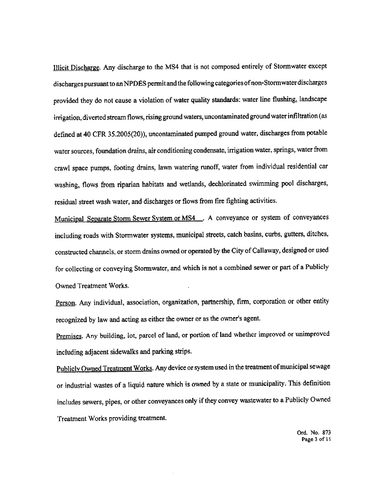Illicit Dischanze. Any discharge to the MS4 that is not composed entirely of Stonnwater except discharges pursuant to an NPDES permit and the following categories of non-Stormwater discharges provided they do not cause <sup>a</sup> violation of water quality standards: water line flushing, landscape irrigation, diverted stream flows, rising ground waters, uncontaminated ground water infiltration ( as defined at 40 CFR 35.2005(20)), uncontaminated pumped ground water, discharges from potable water sources, foundation drains, air conditioning condensate, irrigation water, springs, water from crawl space pumps, footing drains, lawn watering runoff, water from individual residential car washing, flows from riparian habitats and wetlands, dechlorinated swimming pool discharges, residual street wash water, and discharges or tlows from tire fighting activities.

Municipal Separate Storm Sewer System or MS4 . A conveyance or system of conveyances including roads with Stormwater systems, municipal streets, catch basins, curbs, gutters, ditches, constructed channels, or storm drains owned or operated by the City of Callaway, designed or used for collecting or conveying Stormwatcr, and which is not <sup>a</sup> combined sewer or part of <sup>a</sup> Publicly Owned Treatment Works.

Person. Any individual, association, organization, partnership, firm, corporation or other entity recognized by law and acting as either the owner or as the owner'<sup>s</sup> agent.

Premises. Any building, lot, parcel of land, or portion of land whether improved or unimproved including adjacent sidewalks and parking strips.

Publicly Owned Treatment Works. Any device or system used in the treatment of municipal sewage or industrial wastes of <sup>a</sup> liquid nature which is owned by <sup>a</sup> state or municipality. This definition includes sewers, pipes, or other conveyances only if they convey wastewater to <sup>a</sup> Publicly Owned Treatment Works providing treatment.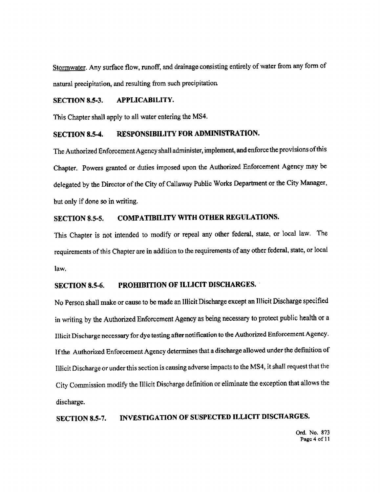Stormwater. Any surface flow, runoff, and drainage consisting entirely of water from any form of natural precipitation, and resulting from such precipitation

#### **APPLICABILITY. SECTION 8.5-3.**

This Chapter shall apply to all water entering the MS4.

### RESPONSIBILITY FOR ADMINISTRATION. **SECTION 8.5-4.**

The Authorized Enforcement Agency shall administer, implement, and enforce the provisions of this Chapter. Powers granted or duties imposed upon the Authorized Enforcement Agency may be delegated by the Director of the City of Callaway Public Works Department or the City Manager, but only if done so in writing.

### **COMPATIBILITY WITH OTHER REGULATIONS. SECTION 8.5-5.**

This Chapter is not intended to modify or repeal any other federal, state, or local law. The requirements of this Chapter are in addition to the requirements of any other federal, state, or local law.

#### **PROHIBITION OF ILLICIT DISCHARGES. SECTION 8.5-6.**

No Person shall make or cause to be made an Illicit Discharge except an Illicit Discharge specified in writing by the Authorized Enforcement Agency as being necessary to protect public health or a Illicit Discharge necessary for dye testing after notification to the Authorized Enforcement Agency. If the Authorized Enforcement Agency determines that a discharge allowed under the definition of Illicit Discharge or under this section is causing adverse impacts to the MS4, it shall request that the City Commission modify the Illicit Discharge definition or eliminate the exception that allows the discharge.

INVESTIGATION OF SUSPECTED ILLICIT DISCHARGES. **SECTION 8.5-7.**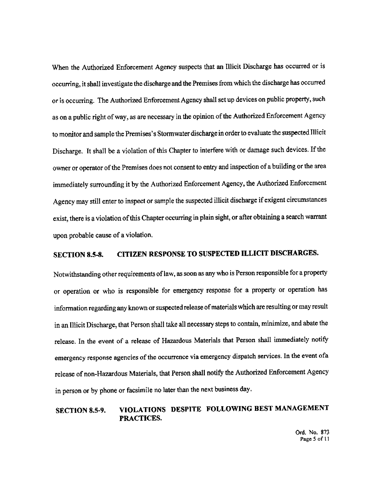When the Authorized Enforcement Agency suspects that an Illicit Discharge has occurred or is occurring, it shall investigate the discharge and the Premises from which the discharge has occurred or is occurring. The Authorized Enforcement Agency shall set up devices on public property, such as on a public right of way, as are necessary in the opinion of the Authorized Enforcement Agency to monitor and sample the Premises's Stormwater discharge in order to evaluate the suspected Illicit Discharge. It shall be a violation of this Chapter to interfere with or damage such devices. If the owner or operator of the Premises does not consent to entry and inspection of a building or the area immediately surrounding it by the Authorized Enforcement Agency, the Authorized Enforcement Agency may still enter to inspect or sample the suspected illicit discharge if exigent circumstances exist, there is a violation of this Chapter occurring in plain sight, or after obtaining a search warrant upon probable cause of a violation.

### CITIZEN RESPONSE TO SUSPECTED ILLICIT DISCHARGES. **SECTION 8.5-8.**

Notwithstanding other requirements of law, as soon as any who is Person responsible for a property or operation or who is responsible for emergency response for a property or operation has information regarding any known or suspected release of materials which are resulting or may result in an Illicit Discharge, that Person shall take all necessary steps to contain, minimize, and abate the release. In the event of a release of Hazardous Materials that Person shall immediately notify emergency response agencies of the occurrence via emergency dispatch services. In the event of a release of non-Hazardous Materials, that Person shall notify the Authorized Enforcement Agency in person or by phone or facsimile no later than the next business day.

### VIOLATIONS DESPITE FOLLOWING BEST MANAGEMENT **SECTION 8.5-9.** PRACTICES.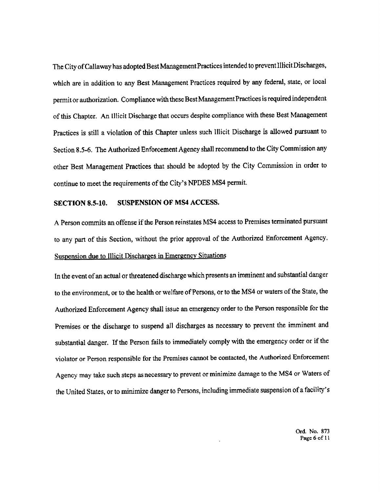The City of Callaway has adopted Best Management Practices intended to prevent Illicit Discharges, which are in addition to any Best Management Practices required by any federal, state, or local permit or authorization. Compliance with these Best Management Practices is required independent of this Chapter. An Illicit Discharge that occurs despite compliance with these Best Management Practices is still a violation of this Chapter unless such Illicit Discharge is allowed pursuant to Section 8.5-6. The Authorized Enforcement Agency shall recommend to the City Commission any other Best Management Practices that should be adopted by the City Commission in order to continue to meet the requirements of the City's NPDES MS4 permit.

### SUSPENSION OF MS4 ACCESS. **SECTION 8.5-10.**

A Person commits an offense if the Person reinstates MS4 access to Premises terminated pursuant to any part of this Section, without the prior approval of the Authorized Enforcement Agency. Suspension due to Illicit Discharges in Emergency Situations

In the event of an actual or threatened discharge which presents an imminent and substantial danger to the environment, or to the health or welfare of Persons, or to the MS4 or waters of the State, the Authorized Enforcement Agency shall issue an emergency order to the Person responsible for the Premises or the discharge to suspend all discharges as necessary to prevent the imminent and substantial danger. If the Person fails to immediately comply with the emergency order or if the violator or Person responsible for the Premises cannot be contacted, the Authorized Enforcement Agency may take such steps as necessary to prevent or minimize damage to the MS4 or Waters of the United States, or to minimize danger to Persons, including immediate suspension of a facility's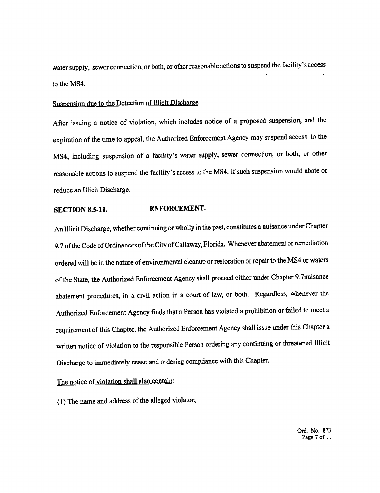water supply, sewer connection, or both, or other reasonable actions to suspend the facility' <sup>s</sup> access to the MS4.

# Suspension due to the Detection of Illicit Discharge

After issuing <sup>a</sup> notice of violation, which includes notice of <sup>a</sup> proposed suspension, and the expiration of the time to appeal, the Authorized Enforcement Agency may suspend access to the MS4, including suspension of a facility's water supply, sewer connection, or both, or other reasonable actions to suspend the facility's access to the MS4, if such suspension would abate or reduce an Illicit Discharge.

## SECTION 8.5-11. ENFORCEMENT.

An Illicit Discharge, whether continuing or wholly in the past, constitutes a nuisance under Chapter 9.7 of the Code of Ordinances of the City of Callaway, Florida. Whenever abatement or remediation ordered will be in the nature of environmental cleanup or restoration or repair to the MS4 or waters of the State, the Authorized Enforcement Agency shall proceed either under Chapter 9. 7nuisance abatement procedures. in <sup>a</sup> civil action in <sup>a</sup> court of law, or both. Regardless, whenever the Authorized Enforcement Agency finds that <sup>a</sup> Person has violated <sup>a</sup> prohibition or failed to meet <sup>a</sup> requirement of this Chapter, the Authorized Enforcement Agency shall issue under this Chapter <sup>a</sup> written notice of violation to the responsible Person ordering any continuing or threatened Illicit Discharge to immediately cease and ordering compliance with this Chapter.

The notice of violation shall also contain:

1) The name and address of the alleged violator;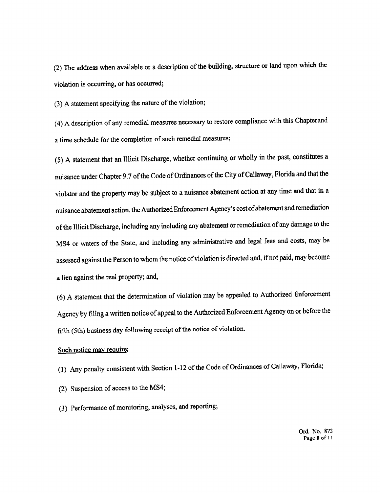(2) The address when available or a description of the building, structure or land upon which the violation is occurring, or has occurred;

(3) A statement specifying the nature of the violation;

(4) A description of any remedial measures necessary to restore compliance with this Chapterand a time schedule for the completion of such remedial measures;

(5) A statement that an Illicit Discharge, whether continuing or wholly in the past, constitutes a nuisance under Chapter 9.7 of the Code of Ordinances of the City of Callaway, Florida and that the violator and the property may be subject to a nuisance abatement action at any time and that in a nuisance abatement action, the Authorized Enforcement Agency's cost of abatement and remediation of the Illicit Discharge, including any including any abatement or remediation of any damage to the MS4 or waters of the State, and including any administrative and legal fees and costs, may be assessed against the Person to whom the notice of violation is directed and, if not paid, may become a lien against the real property; and,

(6) A statement that the determination of violation may be appealed to Authorized Enforcement Agency by filing a written notice of appeal to the Authorized Enforcement Agency on or before the fifth (5th) business day following receipt of the notice of violation.

## Such notice may require:

(1) Any penalty consistent with Section 1-12 of the Code of Ordinances of Callaway, Florida;

(2) Suspension of access to the MS4;

(3) Performance of monitoring, analyses, and reporting;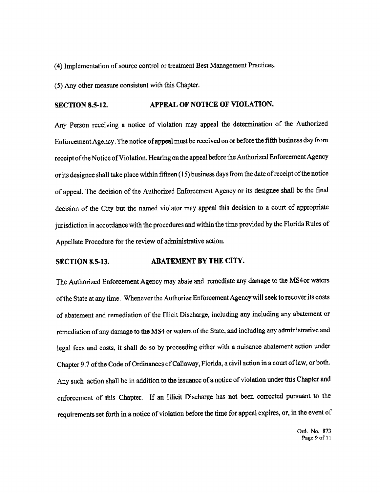(4) Implementation of source control or treatment Best Management Practices.

(5) Any other measure consistent with this Chapter.

### APPEAL OF NOTICE OF VIOLATION. **SECTION 8.5-12.**

Any Person receiving a notice of violation may appeal the determination of the Authorized Enforcement Agency. The notice of appeal must be received on or before the fifth business day from receipt of the Notice of Violation. Hearing on the appeal before the Authorized Enforcement Agency or its designee shall take place within fifteen (15) business days from the date of receipt of the notice of appeal. The decision of the Authorized Enforcement Agency or its designee shall be the final decision of the City but the named violator may appeal this decision to a court of appropriate jurisdiction in accordance with the procedures and within the time provided by the Florida Rules of Appellate Procedure for the review of administrative action.

### ABATEMENT BY THE CITY. **SECTION 8.5-13.**

The Authorized Enforcement Agency may abate and remediate any damage to the MS4 or waters of the State at any time. Whenever the Authorize Enforcement Agency will seek to recover its costs of abatement and remediation of the Illicit Discharge, including any including any abatement or remediation of any damage to the MS4 or waters of the State, and including any administrative and legal fecs and costs, it shall do so by proceeding either with a nuisance abatement action under Chapter 9.7 of the Code of Ordinances of Callaway, Florida, a civil action in a court of law, or both. Any such action shall be in addition to the issuance of a notice of violation under this Chapter and enforcement of this Chapter. If an Illicit Discharge has not been corrected pursuant to the requirements set forth in a notice of violation before the time for appeal expires, or, in the event of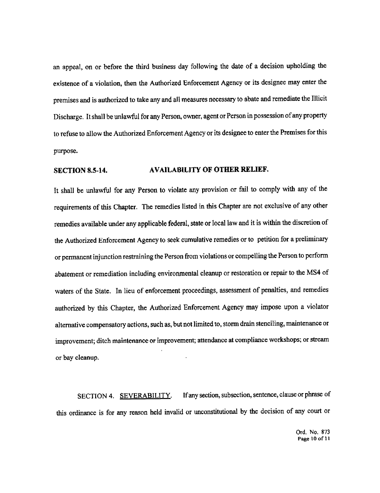an appeal. on or before the third business day following the date of <sup>a</sup> decision upholding the existence of <sup>a</sup> violation, then the Authorized Enforcement Agency or its designee may enter the premises and is authorized to take any and all measures necessary to abate and remediate the Illicit Discharge. It shall be unlawful for any Person. owner, agent or Person in possession of any property to refuse to allow the Authorized Enforcement Agency or its designee to enter the Premises for this purpose.

## SECTION 8.5-14. AVAILABILITY OF OTHER RELIEF.

It shall be unlawful for any Person to violate any provision or fail to comply with any of the requirements of this Chapter. The remedies listed in this Chapter are not exclusive of any other remedies available under any applicable federal, state or local law and it is within the discretion of the Authorized Enforcement Agency to seek cumulative remedies or to petition for <sup>a</sup> preliminary or permanent injunction restraining the Person from violations or compelling the Person to perform abatement or remediation including environmental cleanup or restoration or repair to the MS4 of waters of the State. In lieu of enforcement proceedings, assessment of penalties, and remedies authorized by this Chapter, the Authorized Enforcement Agency may impose upon <sup>a</sup> violator alternative compensatory actions, such as, but not limited to, storm drain stenciling, maintenance or improvement; ditch maintenance or improvement; attendance at compliance workshops; or stream or bay cleanup.

SECTION 4. SEVERABILITY. If any section, subsection, sentence, clause or phrase of this ordinance is for any reason held invalid or unconstitutional by the decision of any court or

> Ord. No. 873 Page <sup>10</sup> of 1\